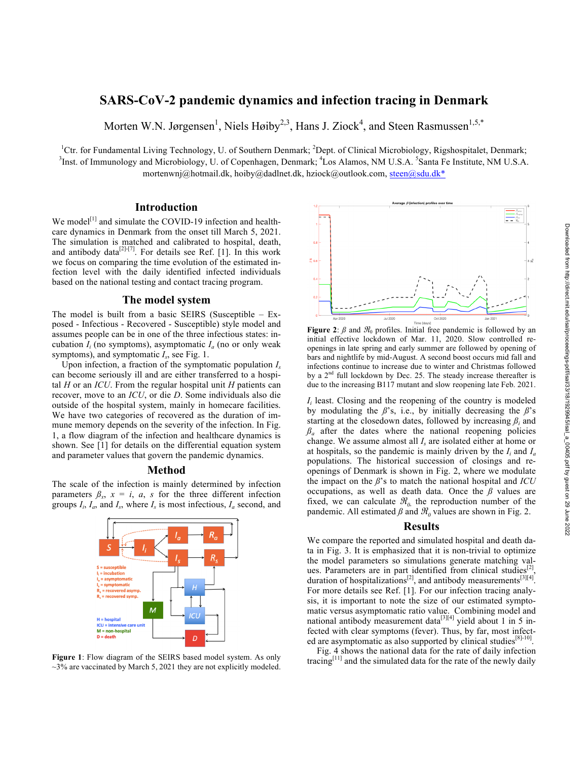# **SARS-CoV-2 pandemic dynamics and infection tracing in Denmark**

Morten W.N. Jørgensen<sup>1</sup>, Niels Høiby<sup>2,3</sup>, Hans J. Ziock<sup>4</sup>, and Steen Rasmussen<sup>1,5,\*</sup>

<sup>1</sup>Ctr. for Fundamental Living Technology, U. of Southern Denmark; <sup>2</sup>Dept. of Clinical Microbiology, Rigshospitalet, Denmark; <sup>3</sup>Inst. of Immunology and Microbiology, U. of Copenhagen, Denmark; <sup>4</sup>Los Alamos, NM U.S.A. <sup>5</sup>Santa Fe Institute, NM U.S.A. mortenwnj@hotmail.dk, hoiby@dadlnet.dk, hziock@outlook.com, steen@sdu.dk\*

## **Introduction**

We model<sup>[1]</sup> and simulate the COVID-19 infection and healthcare dynamics in Denmark from the onset till March 5, 2021. The simulation is matched and calibrated to hospital, death, and antibody data<sup>[2]-[7]</sup>. For details see Ref. [1]. In this work we focus on comparing the time evolution of the estimated infection level with the daily identified infected individuals based on the national testing and contact tracing program.

## **The model system**

The model is built from a basic SEIRS (Susceptible – Exposed - Infectious - Recovered - Susceptible) style model and assumes people can be in one of the three infectious states: incubation  $I_i$  (no symptoms), asymptomatic  $I_a$  (no or only weak symptoms), and symptomatic *Is*, see Fig. 1.

Upon infection, a fraction of the symptomatic population *Is* can become seriously ill and are either transferred to a hospital *H* or an *ICU*. From the regular hospital unit *H* patients can recover, move to an *ICU*, or die *D*. Some individuals also die outside of the hospital system, mainly in homecare facilities. We have two categories of recovered as the duration of immune memory depends on the severity of the infection. In Fig. 1, a flow diagram of the infection and healthcare dynamics is shown. See [1] for details on the differential equation system and parameter values that govern the pandemic dynamics.

#### **Method**

The scale of the infection is mainly determined by infection parameters  $\beta_x$ ,  $x = i$ ,  $a$ ,  $s$  for the three different infection groups  $I_i$ ,  $I_a$ , and  $I_s$ , where  $I_s$  is most infectious,  $I_a$  second, and



 $\sim$ 3% are vaccinated by March 5, 2021 they are not explicitly modeled.

**Figure 2:**  $\beta$  and  $\overline{\mathcal{H}}_0$  profiles. Initial free pandemic is followed by an initial effective lockdown of Mar. 11, 2020. Slow controlled reopenings in late spring and early summer are followed by opening of bars and nightlife by mid-August. A second boost occurs mid fall and infections continue to increase due to winter and Christmas followed by a  $2<sup>nd</sup>$  full lockdown by Dec. 25. The steady increase thereafter is due to the increasing B117 mutant and slow reopening late Feb. 2021.

*I<sub>i</sub>* least. Closing and the reopening of the country is modeled by modulating the  $\beta$ 's, i.e., by initially decreasing the  $\beta$ 's starting at the closedown dates, followed by increasing  $\beta_i$  and  $\beta_a$  after the dates where the national reopening policies change. We assume almost all *Is* are isolated either at home or at hospitals, so the pandemic is mainly driven by the *Ii* and *Ia* populations. The historical succession of closings and reopenings of Denmark is shown in Fig. 2, where we modulate the impact on the *ß*'s to match the national hospital and *ICU* occupations, as well as death data. Once the *ß* values are fixed, we can calculate  $\mathcal{R}_0$ , the reproduction number of the pandemic. All estimated  $\beta$  and  $\mathcal{R}_0$  values are shown in Fig. 2.

## **Results**

We compare the reported and simulated hospital and death data in Fig. 3. It is emphasized that it is non-trivial to optimize the model parameters so simulations generate matching values. Parameters are in part identified from clinical studies $^{[2]}$ , duration of hospitalizations<sup>[2]</sup>, and antibody measurements<sup>[3][4]</sup>. For more details see Ref. [1]. For our infection tracing analysis, it is important to note the size of our estimated symptomatic versus asymptomatic ratio value. Combining model and national antibody measurement data<sup>[3][4]</sup> yield about 1 in 5 infected with clear symptoms (fever). Thus, by far, most infected are asymptomatic as also supported by clinical studies  $[8]$ -10].

Fig. 4 shows the national data for the rate of daily infection Figure 1: Flow diagram of the SEIRS based model system. As only tracing<sup>[11]</sup> and the simulated data for the rate of the newly daily tracing<sup>[11]</sup> and the simulated data for the rate of the newly daily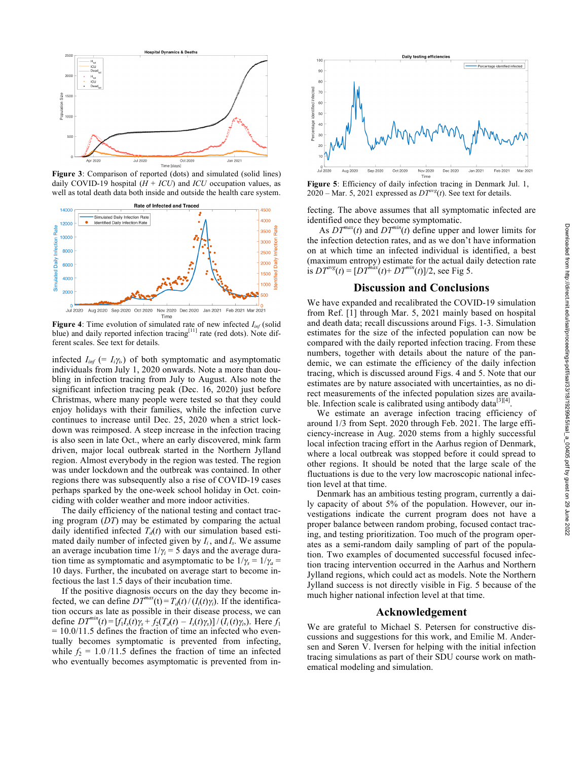Downloaded from http://direct.mit.edu/isal/proceedings-pdf/isal/33/18/1929945/isal\_a\_00405.pdf by guest on 29 June 2022



**Figure 3**: Comparison of reported (dots) and simulated (solid lines) daily COVID-19 hospital  $(H + ICU)$  and  $ICU$  occupation values, as well as total death data both inside and outside the health care system.



**Figure 4**: Time evolution of simulated rate of new infected  $I_{inf}$  (solid blue) and daily reported infection tracing<sup>[11]</sup> rate (red dots). Note different scales. See text for details.

infected  $I_{inf}$  (=  $I_i\gamma_i$ ) of both symptomatic and asymptomatic individuals from July 1, 2020 onwards. Note a more than doubling in infection tracing from July to August. Also note the significant infection tracing peak (Dec. 16, 2020) just before Christmas, where many people were tested so that they could enjoy holidays with their families, while the infection curve continues to increase until Dec. 25, 2020 when a strict lockdown was reimposed. A steep increase in the infection tracing is also seen in late Oct., where an early discovered, mink farm driven, major local outbreak started in the Northern Jylland region. Almost everybody in the region was tested. The region was under lockdown and the outbreak was contained. In other regions there was subsequently also a rise of COVID-19 cases perhaps sparked by the one-week school holiday in Oct. coinciding with colder weather and more indoor activities.

The daily efficiency of the national testing and contact tracing program (*DT*) may be estimated by comparing the actual daily identified infected  $T_d(t)$  with our simulation based estimated daily number of infected given by  $I_i$ , and  $I_s$ . We assume an average incubation time  $1/\gamma$ <sup> $=$ </sup> 5 days and the average duration time as symptomatic and asymptomatic to be  $1/\gamma_s = 1/\gamma_a =$ 10 days. Further, the incubated on average start to become infectious the last 1.5 days of their incubation time.

If the positive diagnosis occurs on the day they become infected, we can define  $DT^{max}(t) = T_d(t) / (I_i(t) \gamma_i)$ . If the identification occurs as late as possible in their disease process, we can define  $DT^{min}(t) = [f_1I_s(t)\gamma_s + f_2(T_d(t) - I_s(t)\gamma_s)]/(I_i(t)\gamma_i)$ . Here  $f_1$  $= 10.0/11.5$  defines the fraction of time an infected who eventually becomes symptomatic is prevented from infecting, while  $f_2 = 1.0 / 11.5$  defines the fraction of time an infected who eventually becomes asymptomatic is prevented from in-



**Figure 5**: Efficiency of daily infection tracing in Denmark Jul. 1, 2020 – Mar. 5, 2021 expressed as  $DT^{avg}(t)$ . See text for details.

fecting. The above assumes that all symptomatic infected are identified once they become symptomatic.

As  $DT^{max}(t)$  and  $DT^{min}(t)$  define upper and lower limits for the infection detection rates, and as we don't have information on at which time an infected individual is identified, a best (maximum entropy) estimate for the actual daily detection rate is  $DT^{avg}(t) = [DT^{max}(t) + DT^{min}(t)]/2$ , see Fig 5.

#### **Discussion and Conclusions**

We have expanded and recalibrated the COVID-19 simulation from Ref. [1] through Mar. 5, 2021 mainly based on hospital and death data; recall discussions around Figs. 1-3. Simulation estimates for the size of the infected population can now be compared with the daily reported infection tracing. From these numbers, together with details about the nature of the pandemic, we can estimate the efficiency of the daily infection tracing, which is discussed around Figs. 4 and 5. Note that our estimates are by nature associated with uncertainties, as no direct measurements of the infected population sizes are available. Infection scale is calibrated using antibody data<sup>[3][4]</sup>.

We estimate an average infection tracing efficiency of around 1/3 from Sept. 2020 through Feb. 2021. The large efficiency-increase in Aug. 2020 stems from a highly successful local infection tracing effort in the Aarhus region of Denmark, where a local outbreak was stopped before it could spread to other regions. It should be noted that the large scale of the fluctuations is due to the very low macroscopic national infection level at that time.

Denmark has an ambitious testing program, currently a daily capacity of about 5% of the population. However, our investigations indicate the current program does not have a proper balance between random probing, focused contact tracing, and testing prioritization. Too much of the program operates as a semi-random daily sampling of part of the population. Two examples of documented successful focused infection tracing intervention occurred in the Aarhus and Northern Jylland regions, which could act as models. Note the Northern Jylland success is not directly visible in Fig. 5 because of the much higher national infection level at that time.

#### **Acknowledgement**

We are grateful to Michael S. Petersen for constructive discussions and suggestions for this work, and Emilie M. Andersen and Søren V. Iversen for helping with the initial infection tracing simulations as part of their SDU course work on mathematical modeling and simulation.